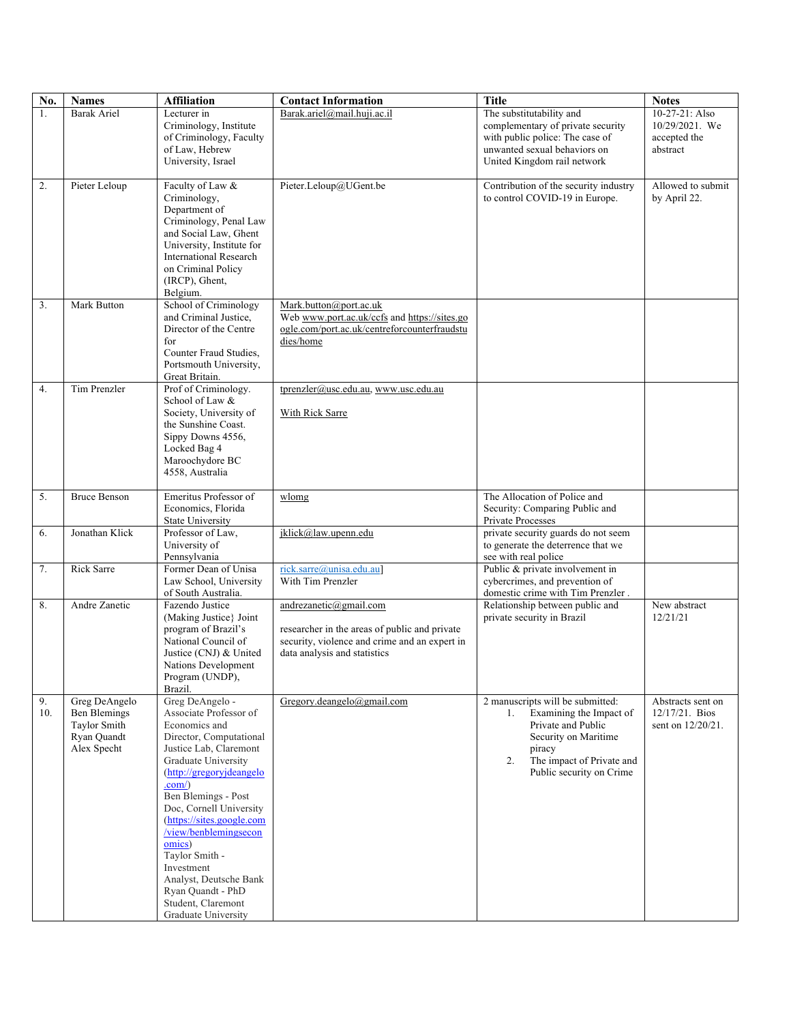| No. | <b>Names</b>                | <b>Affiliation</b>                             | <b>Contact Information</b>                    | <b>Title</b>                                                        | <b>Notes</b>             |
|-----|-----------------------------|------------------------------------------------|-----------------------------------------------|---------------------------------------------------------------------|--------------------------|
| 1.  | Barak Ariel                 | Lecturer in                                    | Barak.ariel@mail.huji.ac.il                   | The substitutability and                                            | 10-27-21: Also           |
|     |                             | Criminology, Institute                         |                                               | complementary of private security                                   | 10/29/2021. We           |
|     |                             | of Criminology, Faculty<br>of Law, Hebrew      |                                               | with public police: The case of<br>unwanted sexual behaviors on     | accepted the<br>abstract |
|     |                             | University, Israel                             |                                               | United Kingdom rail network                                         |                          |
|     |                             |                                                |                                               |                                                                     |                          |
| 2.  | Pieter Leloup               | Faculty of Law &                               | Pieter.Leloup@UGent.be                        | Contribution of the security industry                               | Allowed to submit        |
|     |                             | Criminology,                                   |                                               | to control COVID-19 in Europe.                                      | by April 22.             |
|     |                             | Department of<br>Criminology, Penal Law        |                                               |                                                                     |                          |
|     |                             | and Social Law, Ghent                          |                                               |                                                                     |                          |
|     |                             | University, Institute for                      |                                               |                                                                     |                          |
|     |                             | <b>International Research</b>                  |                                               |                                                                     |                          |
|     |                             | on Criminal Policy                             |                                               |                                                                     |                          |
|     |                             | (IRCP), Ghent,<br>Belgium.                     |                                               |                                                                     |                          |
| 3.  | Mark Button                 | School of Criminology                          | Mark.button@port.ac.uk                        |                                                                     |                          |
|     |                             | and Criminal Justice,                          | Web www.port.ac.uk/ccfs and https://sites.go  |                                                                     |                          |
|     |                             | Director of the Centre                         | ogle.com/port.ac.uk/centreforcounterfraudstu  |                                                                     |                          |
|     |                             | for                                            | dies/home                                     |                                                                     |                          |
|     |                             | Counter Fraud Studies,                         |                                               |                                                                     |                          |
|     |                             | Portsmouth University,<br>Great Britain.       |                                               |                                                                     |                          |
| 4.  | Tim Prenzler                | Prof of Criminology.                           | tprenzler@usc.edu.au, www.usc.edu.au          |                                                                     |                          |
|     |                             | School of Law &                                |                                               |                                                                     |                          |
|     |                             | Society, University of                         | With Rick Sarre                               |                                                                     |                          |
|     |                             | the Sunshine Coast.                            |                                               |                                                                     |                          |
|     |                             | Sippy Downs 4556,<br>Locked Bag 4              |                                               |                                                                     |                          |
|     |                             | Maroochydore BC                                |                                               |                                                                     |                          |
|     |                             | 4558, Australia                                |                                               |                                                                     |                          |
|     |                             |                                                |                                               |                                                                     |                          |
| 5.  | <b>Bruce Benson</b>         | Emeritus Professor of                          | wlomg                                         | The Allocation of Police and                                        |                          |
|     |                             | Economics, Florida<br><b>State University</b>  |                                               | Security: Comparing Public and<br>Private Processes                 |                          |
| 6.  | Jonathan Klick              | Professor of Law,                              | jklick@law.upenn.edu                          | private security guards do not seem                                 |                          |
|     |                             | University of                                  |                                               | to generate the deterrence that we                                  |                          |
|     |                             | Pennsylvania                                   |                                               | see with real police                                                |                          |
| 7.  | Rick Sarre                  | Former Dean of Unisa                           | rick.sarre@unisa.edu.au]                      | Public & private involvement in                                     |                          |
|     |                             | Law School, University<br>of South Australia.  | With Tim Prenzler                             | cybercrimes, and prevention of<br>domestic crime with Tim Prenzler. |                          |
| 8.  | Andre Zanetic               | Fazendo Justice                                | andrezanetic@gmail.com                        | Relationship between public and                                     | New abstract             |
|     |                             | (Making Justice) Joint                         |                                               | private security in Brazil                                          | 12/21/21                 |
|     |                             | program of Brazil's                            | researcher in the areas of public and private |                                                                     |                          |
|     |                             | National Council of                            | security, violence and crime and an expert in |                                                                     |                          |
|     |                             | Justice (CNJ) & United                         | data analysis and statistics                  |                                                                     |                          |
|     |                             | Nations Development<br>Program (UNDP),         |                                               |                                                                     |                          |
|     |                             | Brazil.                                        |                                               |                                                                     |                          |
| 9.  | Greg DeAngelo               | Greg DeAngelo -                                | Gregory.deangelo@gmail.com                    | 2 manuscripts will be submitted:                                    | Abstracts sent on        |
| 10. | Ben Blemings                | Associate Professor of                         |                                               | Examining the Impact of<br>1.                                       | $12/17/21.$ Bios         |
|     | Taylor Smith<br>Ryan Quandt | Economics and<br>Director, Computational       |                                               | Private and Public<br>Security on Maritime                          | sent on $12/20/21$ .     |
|     | Alex Specht                 | Justice Lab, Claremont                         |                                               | piracy                                                              |                          |
|     |                             | Graduate University                            |                                               | The impact of Private and<br>2.                                     |                          |
|     |                             | (http://gregoryjdeangelo                       |                                               | Public security on Crime                                            |                          |
|     |                             | .com()                                         |                                               |                                                                     |                          |
|     |                             | Ben Blemings - Post<br>Doc, Cornell University |                                               |                                                                     |                          |
|     |                             | (https://sites.google.com                      |                                               |                                                                     |                          |
|     |                             | /view/benblemingsecon                          |                                               |                                                                     |                          |
|     |                             | omics)                                         |                                               |                                                                     |                          |
|     |                             | Taylor Smith -<br>Investment                   |                                               |                                                                     |                          |
|     |                             | Analyst, Deutsche Bank                         |                                               |                                                                     |                          |
|     |                             | Ryan Quandt - PhD                              |                                               |                                                                     |                          |
|     |                             | Student, Claremont                             |                                               |                                                                     |                          |
|     |                             | Graduate University                            |                                               |                                                                     |                          |